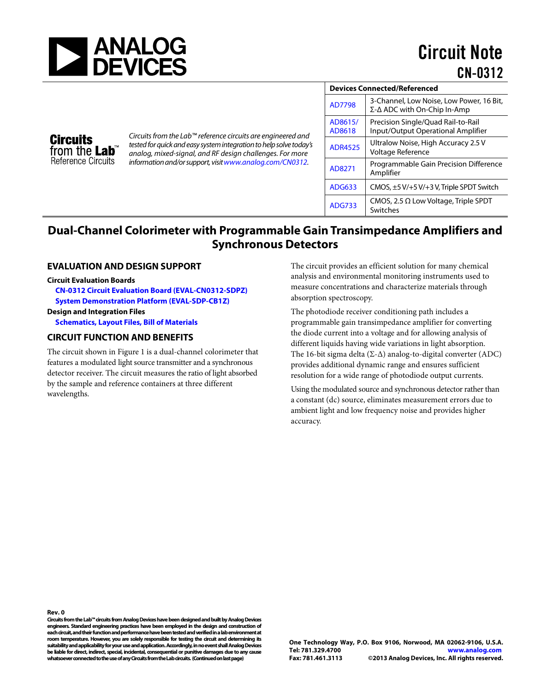

| <b>Devices Connected/Referenced</b> |                                                                                         |
|-------------------------------------|-----------------------------------------------------------------------------------------|
| <b>AD7798</b>                       | 3-Channel, Low Noise, Low Power, 16 Bit,<br>$\Sigma$ - $\Delta$ ADC with On-Chip In-Amp |
| AD8615/<br>AD8618                   | Precision Single/Quad Rail-to-Rail<br>Input/Output Operational Amplifier                |
| <b>ADR4525</b>                      | Ultralow Noise, High Accuracy 2.5 V<br>Voltage Reference                                |
| AD8271                              | Programmable Gain Precision Difference<br>Amplifier                                     |
| <b>ADG633</b>                       | CMOS, ±5 V/+5 V/+3 V, Triple SPDT Switch                                                |
| <b>ADG733</b>                       | CMOS, 2.5 $\Omega$ Low Voltage, Triple SPDT<br>Switches                                 |

# **Dual-Channel Colorimeter with Programmable Gain Transimpedance Amplifiers and Synchronous Detectors**

*Circuits from the Lab™ reference circuits are engineered and tested for quick and easy system integration to help solve today's analog, mixed-signal, and RF design challenges. For more information and/or support, visi[twww.analog.com/CN0312.](http://www.analog.com/CN0312?doc=CN0312.pdf)*

### **EVALUATION AND DESIGN SUPPORT**

#### **Circuit Evaluation Boards**

**Circuits** from the **Lab**<sup>"</sup> Reference Circuits

**CN-0312 [Circuit Evaluation Board \(EVAL-CN0312-SDPZ\)](http://www.analog.com/EVAL-CN0312-SDPZ?doc=CN0312.pdf) [System Demonstration Platform \(EVAL-SDP-CB1Z\)](http://www.analog.com/EVAL-SDP-CB1Z?doc=CN0312.pdf) Design and Integration Files** 

**[Schematics, Layout Files, Bill of Materials](http://www.analog.com/CN0312-DesignSupport?doc=CN0312.pdf)**

#### **CIRCUIT FUNCTION AND BENEFITS**

The circuit shown i[n Figure 1](#page-1-0) is a dual-channel colorimeter that features a modulated light source transmitter and a synchronous detector receiver. The circuit measures the ratio of light absorbed by the sample and reference containers at three different wavelengths.

The circuit provides an efficient solution for many chemical analysis and environmental monitoring instruments used to measure concentrations and characterize materials through absorption spectroscopy.

The photodiode receiver conditioning path includes a programmable gain transimpedance amplifier for converting the diode current into a voltage and for allowing analysis of different liquids having wide variations in light absorption. The 16-bit sigma delta (Σ-Δ) analog-to-digital converter (ADC) provides additional dynamic range and ensures sufficient resolution for a wide range of photodiode output currents.

Using the modulated source and synchronous detector rather than a constant (dc) source, eliminates measurement errors due to ambient light and low frequency noise and provides higher accuracy.

**Rev. 0**

**Circuits from the Lab™ circuits from Analog Devices have been designed and built by Analog Devices engineers. Standard engineering practices have been employed in the design and construction of each circuit, andtheir function and performance have been tested and verified in a lab environment at room temperature. However, you are solely responsible for testing the circuit and determining its suitability and applicability for your use and application. Accordingly,in no event shall Analog Devices be liable for direct, indirect, special, incidental, consequential or punitive damages due to any cause whatsoever connected to the use of any Circuits from the Lab circuits. (Continued on last page)**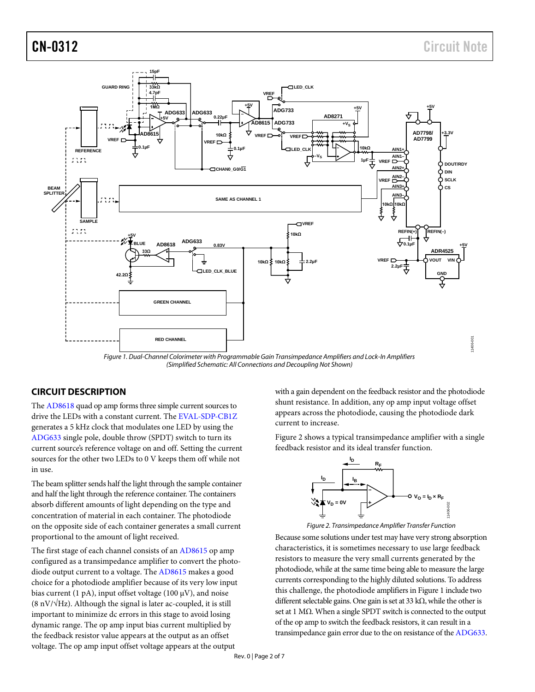11406-001



*Figure 1. Dual-Channel Colorimeter with Programmable Gain Transimpedance Amplifiers and Lock-In Amplifiers (Simplified Schematic: All Connections and Decoupling Not Shown)*

## <span id="page-1-0"></span>**CIRCUIT DESCRIPTION**

The [AD8618](http://www.analog.com/ad8618?doc=CN0312.pdf) quad op amp forms three simple current sources to drive the LEDs with a constant current. Th[e EVAL-SDP-CB1Z](http://www.analog.com/EVAL-SDP-CB1Z?doc=CN0312.pdf) generates a 5 kHz clock that modulates one LED by using the [ADG633](http://www.analog.com/ADG633?doc=CN0312.pdf) single pole, double throw (SPDT) switch to turn its current source's reference voltage on and off. Setting the current sources for the other two LEDs to 0 V keeps them off while not in use.

The beam splitter sends half the light through the sample container and half the light through the reference container. The containers absorb different amounts of light depending on the type and concentration of material in each container. The photodiode on the opposite side of each container generates a small current proportional to the amount of light received.

The first stage of each channel consists of a[n AD8615](http://www.analog.com/ad8615?doc=CN0312.pdf) op amp configured as a transimpedance amplifier to convert the photodiode output current to a voltage. The [AD8615](http://www.analog.com/ad8615?doc=CN0312.pdf) makes a good choice for a photodiode amplifier because of its very low input bias current (1 pA), input offset voltage (100  $\mu$ V), and noise  $(8 \text{ nV}/\sqrt{\text{Hz}})$ . Although the signal is later ac-coupled, it is still important to minimize dc errors in this stage to avoid losing dynamic range. The op amp input bias current multiplied by the feedback resistor value appears at the output as an offset voltage. The op amp input offset voltage appears at the output

with a gain dependent on the feedback resistor and the photodiode shunt resistance. In addition, any op amp input voltage offset appears across the photodiode, causing the photodiode dark current to increase.

[Figure 2](#page-1-1) shows a typical transimpedance amplifier with a single feedback resistor and its ideal transfer function.



*Figure 2. Transimpedance Amplifier Transfer Function*

<span id="page-1-1"></span>Because some solutions under test may have very strong absorption characteristics, it is sometimes necessary to use large feedback resistors to measure the very small currents generated by the photodiode, while at the same time being able to measure the large currents corresponding to the highly diluted solutions. To address this challenge, the photodiode amplifiers in [Figure 1](#page-1-0) include two different selectable gains. One gain is set at 33 kΩ, while the other is set at 1 MΩ. When a single SPDT switch is connected to the output of the op amp to switch the feedback resistors, it can result in a transimpedance gain error due to the on resistance of the [ADG633.](http://www.analog.com/ADG633?doc=CN0312.pdf)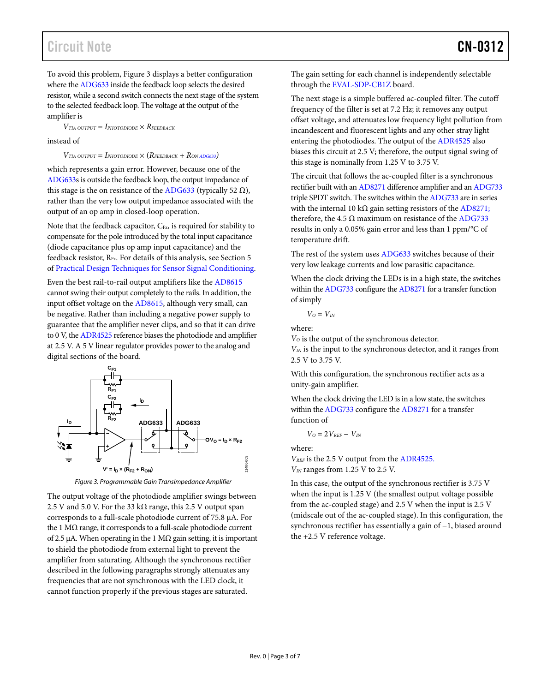# Circuit Note **CN-0312**

To avoid this problem, [Figure 3 d](#page-2-0)isplays a better configuration where the [ADG633](http://www.analog.com/ADG633?doc=CN0312.pdf) inside the feedback loop selects the desired resistor, while a second switch connects the next stage of the system to the selected feedback loop. The voltage at the output of the amplifier is

 $V_{TIA\;OUTPUT} = I_{PHOTODIODE} \times R_{FERBACK}$ 

instead of

 $V_{TIA\ OUTPUT} = I_{PHOTODIODE} \times (R_{FEDBACK} + R_{ONADG633})$ 

which represents a gain error. However, because one of the [ADG633s](http://www.analog.com/ADG633?doc=CN0312.pdf) is outside the feedback loop, the output impedance of this stage is the on resistance of the [ADG633 \(](http://www.analog.com/ADG633?doc=CN0312.pdf)typically 52 Ω), rather than the very low output impedance associated with the output of an op amp in closed-loop operation.

Note that the feedback capacitor,  $C_{Fx}$ , is required for stability to compensate for the pole introduced by the total input capacitance (diode capacitance plus op amp input capacitance) and the feedback resistor,  $R_{Fx}$ . For details of this analysis, see Section 5 of [Practical Design Techniques for Sensor Signal Conditioning.](http://www.analog.com/high_impedance_sensors?doc=CN0312.pdf) 

Even the best rail-to-rail output amplifiers like the [AD8615](http://www.analog.com/ad8615?doc=AD8615.pdf) cannot swing their output completely to the rails. In addition, the input offset voltage on th[e AD8615,](http://www.analog.com/ad8615?doc=CN0312.pdf) although very small, can be negative. Rather than including a negative power supply to guarantee that the amplifier never clips, and so that it can drive to 0 V, th[e ADR4525](http://www.analog.com/adr4525?doc=CN0312.pdf) reference biases the photodiode and amplifier at 2.5 V. A 5 V linear regulator provides power to the analog and digital sections of the board.



*Figure 3. Programmable Gain Transimpedance Amplifier*

<span id="page-2-0"></span>The output voltage of the photodiode amplifier swings between 2.5 V and 5.0 V. For the 33 k $\Omega$  range, this 2.5 V output span corresponds to a full-scale photodiode current of 75.8 µA. For the 1 MΩ range, it corresponds to a full-scale photodiode current of 2.5 µA. When operating in the 1 MΩ gain setting, it is important to shield the photodiode from external light to prevent the amplifier from saturating. Although the synchronous rectifier described in the following paragraphs strongly attenuates any frequencies that are not synchronous with the LED clock, it cannot function properly if the previous stages are saturated.

The gain setting for each channel is independently selectable through the [EVAL-SDP-CB1Z](http://www.analog.com/EVAL-SDP-CB1Z?doc=CN0312.pdf) board.

The next stage is a simple buffered ac-coupled filter. The cutoff frequency of the filter is set at 7.2 Hz; it removes any output offset voltage, and attenuates low frequency light pollution from incandescent and fluorescent lights and any other stray light entering the photodiodes. The output of the [ADR4525](http://www.analog.com/adr4525?doc=CN0312.pdf) also biases this circuit at 2.5 V; therefore, the output signal swing of this stage is nominally from 1.25 V to 3.75 V.

The circuit that follows the ac-coupled filter is a synchronous rectifier built with a[n AD8271](http://www.analog.com/ad8271?doc=CN0312.pdf) difference amplifier and a[n ADG733](http://www.analog.com/ADG733?doc=CN0312.pdf) triple SPDT switch. The switches within th[e ADG733](http://www.analog.com/ADG733?doc=CN0312.pdf) are in series with the internal 10 k $\Omega$  gain setting resistors of the [AD8271;](http://www.analog.com/ad8271?doc=CN0312.pdf) therefore, the 4.5  $\Omega$  maximum on resistance of th[e ADG733](http://www.analog.com/ADG733?doc=CN0312.pdf) results in only a 0.05% gain error and less than 1 ppm/°C of temperature drift.

The rest of the system use[s ADG633](http://www.analog.com/ADG633?doc=CN0312.pdf) switches because of their very low leakage currents and low parasitic capacitance.

When the clock driving the LEDs is in a high state, the switches within th[e ADG733](http://www.analog.com/ADG733?doc=CN0312.pdf) configure th[e AD8271](http://www.analog.com/ad8271?doc=CN0312.pdf) for a transfer function of simply

 $V_O = V_{IN}$ 

where:

*VO* is the output of the synchronous detector.

*VIN* is the input to the synchronous detector, and it ranges from 2.5 V to 3.75 V.

With this configuration, the synchronous rectifier acts as a unity-gain amplifier.

When the clock driving the LED is in a low state, the switches within th[e ADG733](http://www.analog.com/ADG733?doc=CN0312.pdf) configure th[e AD8271](http://www.analog.com/ad8271?doc=CN0312.pdf) for a transfer function of

$$
V_O = 2V_{\it REF} - V_{\it IN}
$$

where:

*VREF* is the 2.5 V output from the [ADR4525.](http://www.analog.com/adr4525?doc=CN0312.pdf)  *VIN* ranges from 1.25 V to 2.5 V.

In this case, the output of the synchronous rectifier is 3.75 V when the input is 1.25 V (the smallest output voltage possible from the ac-coupled stage) and 2.5 V when the input is 2.5 V (midscale out of the ac-coupled stage). In this configuration, the synchronous rectifier has essentially a gain of −1, biased around the +2.5 V reference voltage.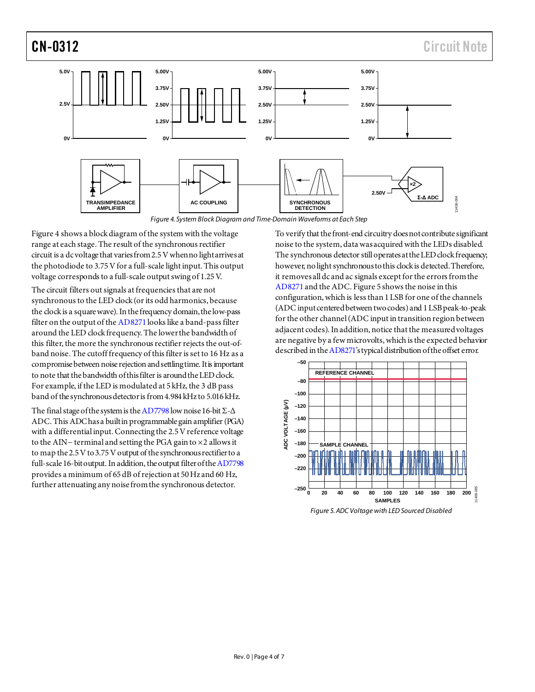

*Figure 4. System Block Diagram and Time-Domain Waveforms at Each Step*

<span id="page-3-0"></span>[Figure 4](#page-3-0) shows a block diagram of the system with the voltage range at each stage. The result of the synchronous rectifier circuit is a dc voltage that variesfrom 2.5V when no light arrivesat the photodiode to 3.75V for a full-scale light input. This output voltage corresponds to a full-scale output swing of 1.25 V.

The circuit filters out signals at frequencies that are not synchronous to the LED clock (or its odd harmonics, because the clock is a square wave). In the frequency domain, the low-pass filter on the output of th[e AD8271](http://www.analog.com/AD8271?doc=CN0312.pdf) looks like a band-pass filter around the LED clock frequency. The lower the bandwidth of this filter, the more the synchronous rectifier rejects the out-ofband noise. The cutoff frequency of this filter is set to 16 Hz as a compromise between noise rejection and settling time. It is important to note that the bandwidth of this filter is around the LED clock. For example, if the LED is modulated at 5 kHz, the 3 dB pass band of the synchronous detectoris from 4.984 kHz to 5.016 kHz.

The final stage of the system is th[e AD7798](http://www.analog.com/ad7798?doc=CN0312.pdf) low noise 16-bit  $\Sigma$ - $\Delta$ ADC. This ADC has a built in programmable gain amplifier (PGA) with a differential input. Connecting the 2.5 V reference voltage to the AIN− terminal and setting the PGA gain to ×2 allows it to map the 2.5V to 3.75 V output of the synchronous rectifier to a full-scale 16-bit output. In addition, the output filter of th[e AD7798](http://www.analog.com/ad7798?doc=CN0312.pdf) provides a minimum of 65 dB of rejection at 50 Hz and 60 Hz, further attenuating any noise from the synchronous detector.

To verify that the front-end circuitry does not contribute significant noise to the system, data was acquired with the LEDs disabled. The synchronous detector still operates at the LED clock frequency; however, no light synchronous to this clock is detected. Therefore, it removes all dc and ac signals except for the errors from the [AD8271](http://www.analog.com/ad8271?doc=CN0312.pdf) and the ADC[. Figure 5](#page-3-1) shows the noise in this configuration, which is less than 1 LSB for one of the channels (ADC input centered between two codes) and 1 LSB peak-to-peak for the other channel (ADC input in transition region between adjacent codes). In addition, notice that the measured voltages are negative by a few microvolts, which is the expected behavior described in th[e AD8271](http://www.analog.com/ad8271?doc=CN0312.pdf)'s typical distribution of the offset error.



<span id="page-3-1"></span>*Figure 5. ADC Voltage with LED Sourced Disabled*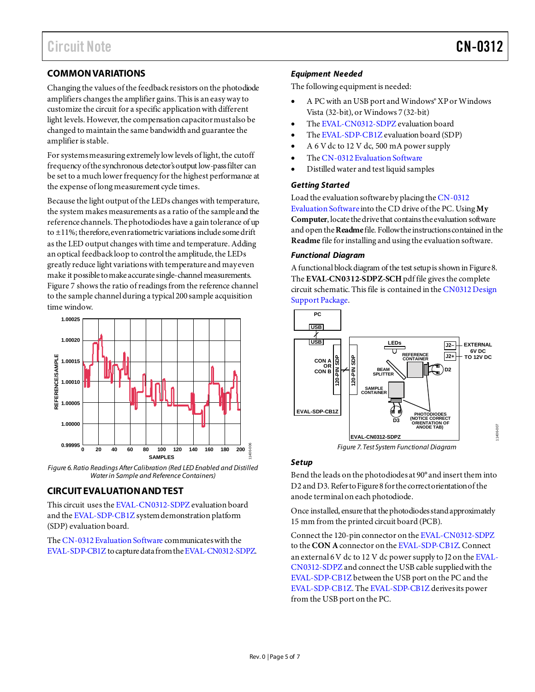11406-007

# **COMMON VARIATIONS**

Changing the values of the feedback resistors on the photodiode amplifiers changes the amplifier gains. This is an easy way to customize the circuit for a specific application with different light levels. However, the compensation capacitormust also be changed to maintain the same bandwidth and guarantee the amplifier is stable.

For systems measuring extremely low levels of light, the cutoff frequency of the synchronous detector's output low-pass filter can be set to a much lower frequency for the highest performance at the expense of long measurement cycle times.

Because the light output of the LEDs changes with temperature, the system makes measurements as a ratio of the sample and the reference channels. The photodiodes have a gain tolerance of up to  $\pm$ 11%; therefore, even ratiometric variations include some drift as the LED output changes with time and temperature. Adding an optical feedback loop to control the amplitude, the LEDs greatly reduce light variations with temperature and may even make it possible to make accurate single-channel measurements. [Figure 7](#page-4-0) shows the ratio of readings from the reference channel to the sample channel during a typical 200 sample acquisition time window.



<span id="page-4-0"></span>*Figure 6. Ratio Readings After Calibration (Red LED Enabled and Distilled Water in Sample and Reference Containers)* 

## **CIRCUIT EVALUATION AND TEST**

This circuit uses th[e EVAL-CN0312-SDPZ](http://www.analog.com/EVAL-CN0312-SDPZ?doc=CN0312.pdf) evaluation board and th[e EVAL-SDP-CB1Z](http://www.analog.com/EVAL-SDP-CB1Z?doc=CN0312.pdf) system demonstration platform (SDP) evaluation board.

Th[e CN-0312 Evaluation Software](ftp://ftp.analog.com/pub/cftl/CN0312) communicates with the [EVAL-SDP-CB1Z](http://www.analog.com/EVAL-SDP-CB1Z?doc=CN0312.pdf) to capture data from th[e EVAL-CN0312-SDPZ.](http://www.analog.com/EVAL-CN0312-SDPZ?doc=CN0312.pdf)

### *Equipment Needed*

The following equipment is needed:

- A PC with an USB port and Windows® XP or Windows Vista (32-bit), or Windows 7 (32-bit)
- Th[e EVAL-CN0312-SDPZ e](http://www.analog.com/EVAL-CN0312-SDPZ?doc=CN0312.pdf)valuation board
- Th[e EVAL-SDP-CB1Z](http://www.analog.com/EVAL-SDP-CB1Z?doc=CN0312.pdf) evaluation board (SDP)
- A 6 V dc to 12 V dc, 500 mA power supply
- Th[e CN-0312 Evaluation Software](ftp://ftp.analog.com/pub/cftl/CN0312)
- Distilled water and test liquid samples

### *Getting Started*

Load the evaluation software by placing th[e CN-0312](ftp://ftp.analog.com/pub/cftl/CN0312)  [Evaluation Software](ftp://ftp.analog.com/pub/cftl/CN0312) into the CD drive of the PC. Using **My Computer**, locate the drive that contains the evaluation software and open the **Readme**file. Follow the instructions contained in the **Readme** file for installing and using the evaluation software.

#### *Functional Diagram*

A functional block diagram of the test setup is shown i[n Figure 8](#page-4-1). The **EVAL-CN0312-SDPZ-SCH**pdf file gives the complete circuit schematic. This file is contained in th[e CN0312 Design](http://www.analog.com/CN0312-DesignSupport?doc=CN0312.pdf)  [Support Package](http://www.analog.com/CN0312-DesignSupport?doc=CN0312.pdf).



*Figure 7. Test System Functional Diagram* 

### <span id="page-4-1"></span>*Setup*

Bend the leads on the photodiodes at 90° and insert them into D2 and D3. Refer t[o Figure 8](#page-4-1) for the correct orientationof the anode terminal on each photodiode.

Once installed, ensure that the photodiodes stand approximately 15 mm from the printed circuit board (PCB).

Connect the 120-pin connector on th[e EVAL-CN0312-SDPZ](http://www.analog.com/EVAL-CN0312-SDPZ?doc=CN0312.pdf) to the **CON A**connector on th[e EVAL-SDP-CB1Z](http://www.analog.com/EVAL-SDP-CB1Z?doc=CN0312.pdf). Connect an external 6 V dc to 12 V dc power supply to J2 on th[e EVAL-](http://www.analog.com/EVAL-CN0312-SDPZ?doc=CN0312.pdf)[CN0312-SDPZ](http://www.analog.com/EVAL-CN0312-SDPZ?doc=CN0312.pdf) and connect the USB cable supplied with the [EVAL-SDP-CB1Z](http://www.analog.com/EVAL-SDP-CB1Z?doc=CN0312.pdf) between the USB port on the PC and the [EVAL-SDP-CB1Z.](http://www.analog.com/EVAL-SDP-CB1Z?doc=CN0312.pdf) Th[e EVAL-SDP-CB1Z](http://www.analog.com/EVAL-SDP-CB1Z?doc=CN0312.pdf) derives its power from the USB port on the PC.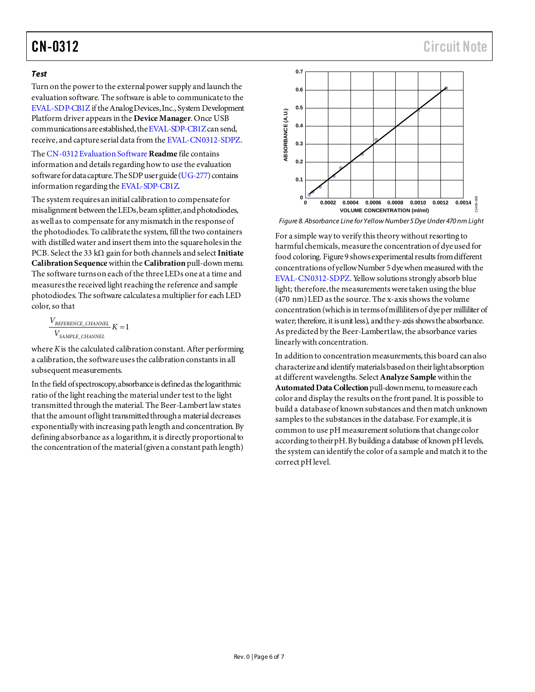## *Test*

Turn on the power to the external power supply and launch the evaluation software. The software is able to communicate to the [EVAL-SDP-CB1Z](http://www.analog.com/EVAL-SDP-CB1Z?doc=CN0312.pdf) if the Analog Devices, Inc., System Development Platform driver appears in the **Device Manager**. Once USB communications are established, th[e EVAL-SDP-CB1Z](http://www.analog.com/EVAL-SDP-CB1Z?doc=CN0312.pdf) can send, receive, and capture serial data from th[e EVAL-CN0312-SDPZ](http://www.analog.com/EVAL-CN0312-SDPZ?doc=CN0312.pdf).

Th[e CN-0312 Evaluation Software](ftp://ftp.analog.com/pub/cftl/CN0312) **Readme** file contains information and details regarding how to use the evaluation software for data capture. The SDP user guide [\(UG-277](http://www.analog.com/UG-277?doc=CN0312.pdf)) contains information regarding th[e EVAL-SDP-CB1Z](http://www.analog.com/EVAL-SDP-CB1Z?doc=CN0312.pdf).

The system requires an initial calibration to compensate for misalignment between the LEDs, beam splitter, and photodiodes, as well as to compensate for any mismatch in the response of the photodiodes. To calibrate the system, fill the two containers with distilled water and insert them into the squareholes in the PCB. Select the 33 kΩ gain for both channels and select **Initiate Calibration Sequence** within the **Calibration**pull-down menu. The software turns on each of the three LEDs one at a time and measures the received light reaching the reference and sample photodiodes. The software calculates a multiplier for each LED color, so that

 $\frac{V_{REFERENCES\_CHANNEL}}{K} K = 1$ *V SAMPLE\_CHANNEL*

where *K*is the calculated calibration constant. After performing a calibration, the software uses the calibration constants in all subsequent measurements.

In the field of spectroscopy, absorbance is defined as the logarithmic ratio of the light reaching the material under test to the light transmitted through the material. The Beer-Lambert law states that the amount of light transmitted through a material decreases exponentially with increasing path length and concentration. By defining absorbance as a logarithm, it is directly proportionalto the concentration of the material (given a constant path length)



<span id="page-5-0"></span>*Figure 8. Absorbance Line for Yellow Number 5 Dye Under 470 nm Light*

For a simple way to verify this theory without resorting to harmful chemicals, measure the concentration of dye used for food colorin[g. Figure 9](#page-5-0) showsexperimental results from different concentrations of yellow Number 5 dye when measured with the [EVAL-CN0312-SDPZ](http://www.analog.com/EVAL-CN0312-SDPZ?doc=CN0312.pdf). Yellow solutions strongly absorb blue light; therefore,the measurements were taken using the blue (470 nm) LED as the source. The x-axis shows the volume concentration (which is in terms of milliliters of dye per milliliter of water; therefore, it is unit less), and the y-axis shows the absorbance. As predicted by the Beer-Lambert law, the absorbance varies linearlywith concentration.

In addition to concentration measurements, this board can also characterize and identify materials based on their light absorption at different wavelengths. Select **Analyze Sample** within the **Automated Data Collection**pull-down menu, to measure each color and display the results on the front panel. It is possible to build a database of known substances and then match unknown samples to the substances in the database. For example, it is common to use pH measurement solutions that change color according to their pH. By building a database of known pH levels, the system can identify the color of a sample and match it to the correct pH level.